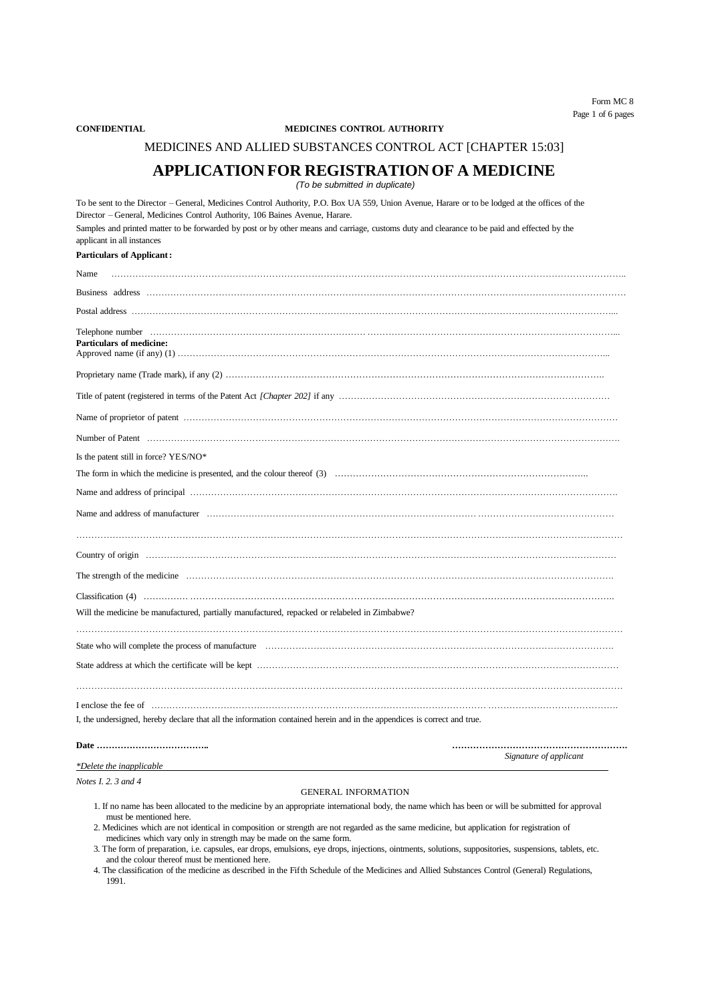#### **CONFIDENTIAL MEDICINES CONTROL AUTHORITY**

MEDICINES AND ALLIED SUBSTANCES CONTROL ACT [CHAPTER 15:03]

### **APPLICATION FOR REGISTRATIONOF A MEDICINE**

*(To be submitted in duplicate)*

| To be sent to the Director - General, Medicines Control Authority, P.O. Box UA 559, Union Avenue, Harare or to be lodged at the offices of the<br>Director - General, Medicines Control Authority, 106 Baines Avenue, Harare.                                                                                                                             |                        |
|-----------------------------------------------------------------------------------------------------------------------------------------------------------------------------------------------------------------------------------------------------------------------------------------------------------------------------------------------------------|------------------------|
| Samples and printed matter to be forwarded by post or by other means and carriage, customs duty and clearance to be paid and effected by the<br>applicant in all instances                                                                                                                                                                                |                        |
| <b>Particulars of Applicant:</b>                                                                                                                                                                                                                                                                                                                          |                        |
| Name                                                                                                                                                                                                                                                                                                                                                      |                        |
|                                                                                                                                                                                                                                                                                                                                                           |                        |
|                                                                                                                                                                                                                                                                                                                                                           |                        |
| Particulars of medicine:                                                                                                                                                                                                                                                                                                                                  |                        |
|                                                                                                                                                                                                                                                                                                                                                           |                        |
|                                                                                                                                                                                                                                                                                                                                                           |                        |
|                                                                                                                                                                                                                                                                                                                                                           |                        |
|                                                                                                                                                                                                                                                                                                                                                           |                        |
| Is the patent still in force? YES/NO*                                                                                                                                                                                                                                                                                                                     |                        |
|                                                                                                                                                                                                                                                                                                                                                           |                        |
|                                                                                                                                                                                                                                                                                                                                                           |                        |
|                                                                                                                                                                                                                                                                                                                                                           |                        |
|                                                                                                                                                                                                                                                                                                                                                           |                        |
|                                                                                                                                                                                                                                                                                                                                                           |                        |
|                                                                                                                                                                                                                                                                                                                                                           |                        |
|                                                                                                                                                                                                                                                                                                                                                           |                        |
| Will the medicine be manufactured, partially manufactured, repacked or relabeled in Zimbabwe?                                                                                                                                                                                                                                                             |                        |
|                                                                                                                                                                                                                                                                                                                                                           |                        |
|                                                                                                                                                                                                                                                                                                                                                           |                        |
|                                                                                                                                                                                                                                                                                                                                                           |                        |
| I enclose the fee of encontrarion contains and the fee of entrarchildren and the fee of entrarchildren and the fee of entrarchildren and the fee of entrarchildren and the fee of entrarchildren and the fee of entrarchildren<br>I, the undersigned, hereby declare that all the information contained herein and in the appendices is correct and true. |                        |
|                                                                                                                                                                                                                                                                                                                                                           |                        |
|                                                                                                                                                                                                                                                                                                                                                           | Signature of applicant |
| *Delete the inapplicable                                                                                                                                                                                                                                                                                                                                  |                        |
| Notes $I$ 2 3 and 4                                                                                                                                                                                                                                                                                                                                       |                        |

#### GENERAL INFORMATION

1. If no name has been allocated to the medicine by an appropriate international body, the name which has been or will be submitted for approval must be mentioned here.

2. Medicines which are not identical in composition or strength are not regarded as the same medicine, but application for registration of medicines which vary only in strength may be made on the same form.

3. The form of preparation, i.e. capsules, ear drops, emulsions, eye drops, injections, ointments, solutions, suppositories, suspensions, tablets, etc. and the colour thereof must be mentioned here.

4. The classification of the medicine as described in the Fifth Schedule of the Medicines and Allied Substances Control (General) Regulations, 1991.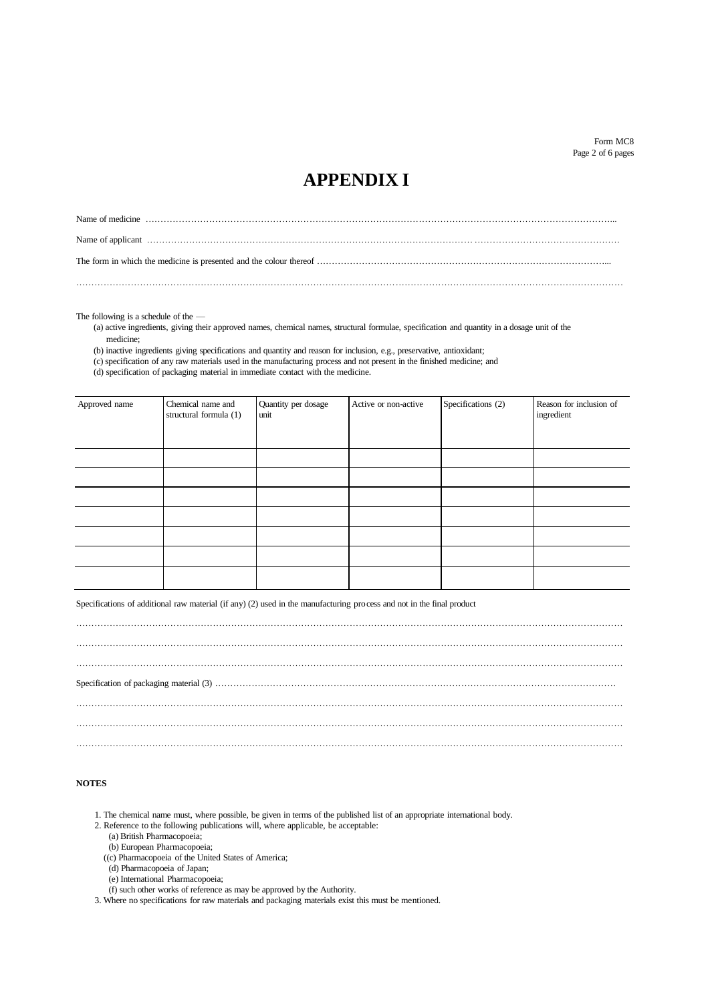### **APPENDIX I**

………………………………………………………………………………………………………………………………………………………………

The following is a schedule of the — (a) active ingredients, giving their approved names, chemical names, structural formulae, specification and quantity in a dosage unit of the medicine;

(b) inactive ingredients giving specifications and quantity and reason for inclusion, e.g., preservative, antioxidant;

(c) specification of any raw materials used in the manufacturing process and not present in the finished medicine; and

(d) specification of packaging material in immediate contact with the medicine.

| Approved name | Chemical name and<br>structural formula (1) | Quantity per dosage<br>unit | Active or non-active | Specifications (2) | Reason for inclusion of<br>ingredient |
|---------------|---------------------------------------------|-----------------------------|----------------------|--------------------|---------------------------------------|
|               |                                             |                             |                      |                    |                                       |
|               |                                             |                             |                      |                    |                                       |
|               |                                             |                             |                      |                    |                                       |
|               |                                             |                             |                      |                    |                                       |
|               |                                             |                             |                      |                    |                                       |
|               |                                             |                             |                      |                    |                                       |
|               |                                             |                             |                      |                    |                                       |

Specifications of additional raw material (if any) (2) used in the manufacturing process and not in the final product

### **NOTES**

- 1. The chemical name must, where possible, be given in terms of the published list of an appropriate international body.
- 2. Reference to the following publications will, where applicable, be acceptable:
	- (a) British Pharmacopoeia;
	- (b) European Pharmacopoeia;
	- ((c) Pharmacopoeia of the United States of America;
	- (d) Pharmacopoeia of Japan;
	- (e) International Pharmacopoeia;
	- (f) such other works of reference as may be approved by the Authority.
- 3. Where no specifications for raw materials and packaging materials exist this must be mentioned.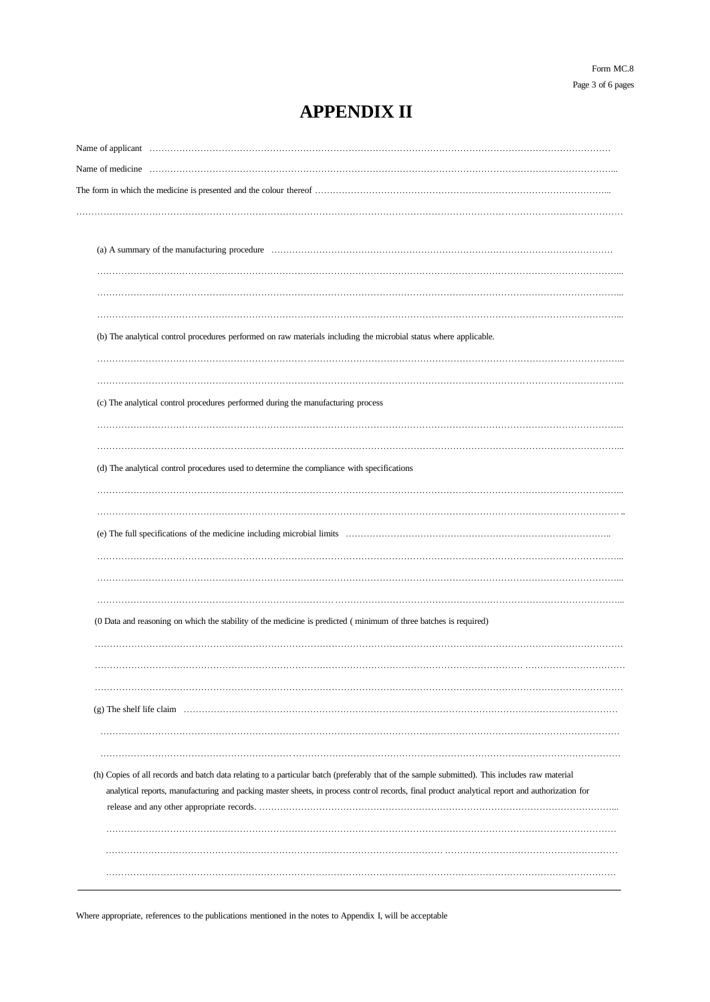## **APPENDIX II**

| (b) The analytical control procedures performed on raw materials including the microbial status where applicable.                              |  |
|------------------------------------------------------------------------------------------------------------------------------------------------|--|
|                                                                                                                                                |  |
|                                                                                                                                                |  |
| (c) The analytical control procedures performed during the manufacturing process                                                               |  |
|                                                                                                                                                |  |
|                                                                                                                                                |  |
| (d) The analytical control procedures used to determine the compliance with specifications                                                     |  |
|                                                                                                                                                |  |
|                                                                                                                                                |  |
|                                                                                                                                                |  |
|                                                                                                                                                |  |
|                                                                                                                                                |  |
|                                                                                                                                                |  |
|                                                                                                                                                |  |
| (0 Data and reasoning on which the stability of the medicine is predicted (minimum of three batches is required)                               |  |
|                                                                                                                                                |  |
|                                                                                                                                                |  |
|                                                                                                                                                |  |
|                                                                                                                                                |  |
|                                                                                                                                                |  |
|                                                                                                                                                |  |
|                                                                                                                                                |  |
| (h) Copies of all records and batch data relating to a particular batch (preferably that of the sample submitted). This includes raw material  |  |
| analytical reports, manufacturing and packing master sheets, in process control records, final product analytical report and authorization for |  |
|                                                                                                                                                |  |
|                                                                                                                                                |  |
|                                                                                                                                                |  |
|                                                                                                                                                |  |
|                                                                                                                                                |  |

Where appropriate, references to the publications mentioned in the notes to Appendix I, will be acceptable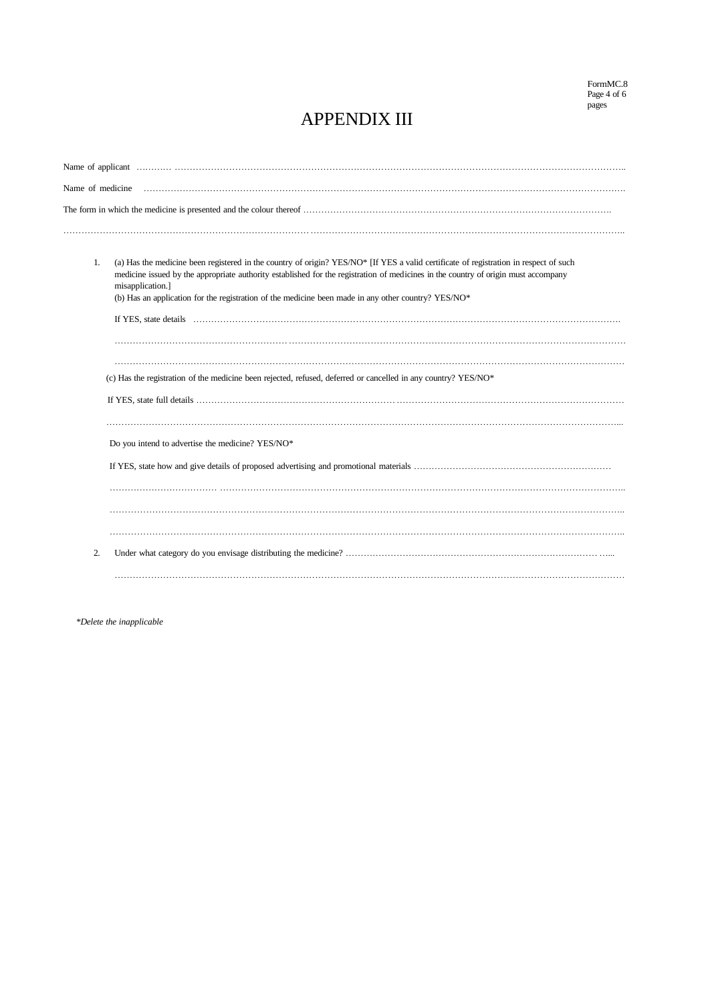### APPENDIX III

| (a) Has the medicine been registered in the country of origin? YES/NO* [If YES a valid certificate of registration in respect of such<br>1.<br>medicine issued by the appropriate authority established for the registration of medicines in the country of origin must accompany<br>misapplication.]<br>(b) Has an application for the registration of the medicine been made in any other country? YES/NO* |  |  |
|--------------------------------------------------------------------------------------------------------------------------------------------------------------------------------------------------------------------------------------------------------------------------------------------------------------------------------------------------------------------------------------------------------------|--|--|
|                                                                                                                                                                                                                                                                                                                                                                                                              |  |  |
|                                                                                                                                                                                                                                                                                                                                                                                                              |  |  |
| (c) Has the registration of the medicine been rejected, refused, deferred or cancelled in any country? YES/NO*                                                                                                                                                                                                                                                                                               |  |  |
|                                                                                                                                                                                                                                                                                                                                                                                                              |  |  |
| Do you intend to advertise the medicine? YES/NO*                                                                                                                                                                                                                                                                                                                                                             |  |  |
|                                                                                                                                                                                                                                                                                                                                                                                                              |  |  |
|                                                                                                                                                                                                                                                                                                                                                                                                              |  |  |
|                                                                                                                                                                                                                                                                                                                                                                                                              |  |  |
| 2.                                                                                                                                                                                                                                                                                                                                                                                                           |  |  |
|                                                                                                                                                                                                                                                                                                                                                                                                              |  |  |

*\*Delete the inapplicable*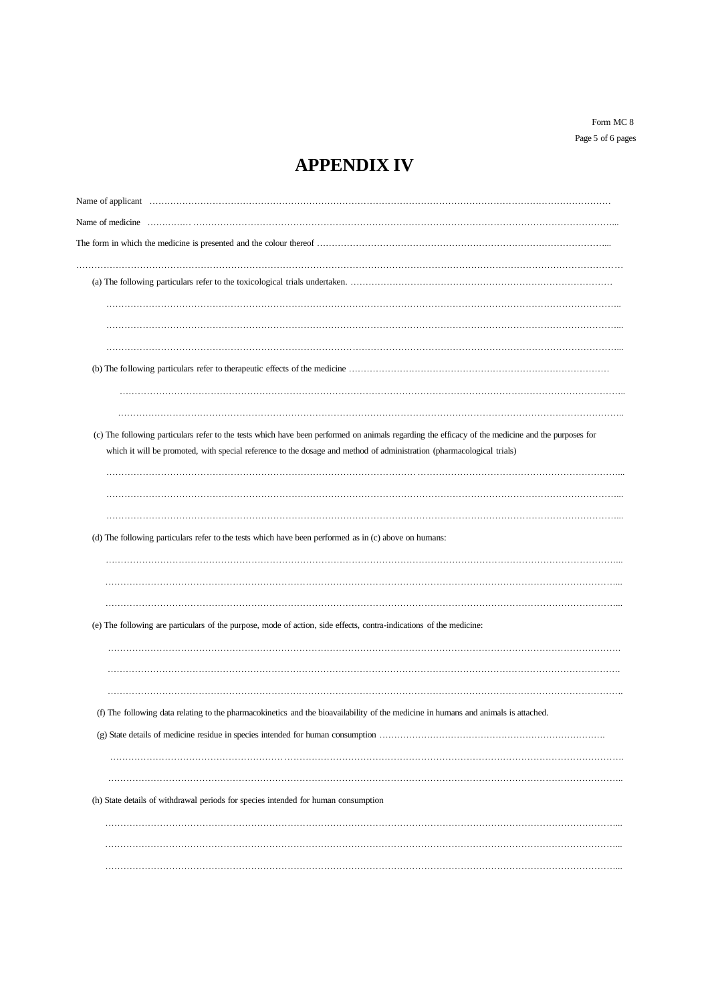Form MC 8 Page 5 of 6 pages

# **APPENDIX IV**

| (c) The following particulars refer to the tests which have been performed on animals regarding the efficacy of the medicine and the purposes for<br>which it will be promoted, with special reference to the dosage and method of administration (pharmacological trials)<br>(d) The following particulars refer to the tests which have been performed as in (c) above on humans:<br>(e) The following are particulars of the purpose, mode of action, side effects, contra-indications of the medicine:<br>(f) The following data relating to the pharmacokinetics and the bioavailability of the medicine in humans and animals is attached.<br>(h) State details of withdrawal periods for species intended for human consumption |  |
|----------------------------------------------------------------------------------------------------------------------------------------------------------------------------------------------------------------------------------------------------------------------------------------------------------------------------------------------------------------------------------------------------------------------------------------------------------------------------------------------------------------------------------------------------------------------------------------------------------------------------------------------------------------------------------------------------------------------------------------|--|
|                                                                                                                                                                                                                                                                                                                                                                                                                                                                                                                                                                                                                                                                                                                                        |  |
|                                                                                                                                                                                                                                                                                                                                                                                                                                                                                                                                                                                                                                                                                                                                        |  |
|                                                                                                                                                                                                                                                                                                                                                                                                                                                                                                                                                                                                                                                                                                                                        |  |
|                                                                                                                                                                                                                                                                                                                                                                                                                                                                                                                                                                                                                                                                                                                                        |  |
|                                                                                                                                                                                                                                                                                                                                                                                                                                                                                                                                                                                                                                                                                                                                        |  |
|                                                                                                                                                                                                                                                                                                                                                                                                                                                                                                                                                                                                                                                                                                                                        |  |
|                                                                                                                                                                                                                                                                                                                                                                                                                                                                                                                                                                                                                                                                                                                                        |  |
|                                                                                                                                                                                                                                                                                                                                                                                                                                                                                                                                                                                                                                                                                                                                        |  |
|                                                                                                                                                                                                                                                                                                                                                                                                                                                                                                                                                                                                                                                                                                                                        |  |
|                                                                                                                                                                                                                                                                                                                                                                                                                                                                                                                                                                                                                                                                                                                                        |  |
|                                                                                                                                                                                                                                                                                                                                                                                                                                                                                                                                                                                                                                                                                                                                        |  |
|                                                                                                                                                                                                                                                                                                                                                                                                                                                                                                                                                                                                                                                                                                                                        |  |
|                                                                                                                                                                                                                                                                                                                                                                                                                                                                                                                                                                                                                                                                                                                                        |  |
|                                                                                                                                                                                                                                                                                                                                                                                                                                                                                                                                                                                                                                                                                                                                        |  |
|                                                                                                                                                                                                                                                                                                                                                                                                                                                                                                                                                                                                                                                                                                                                        |  |
|                                                                                                                                                                                                                                                                                                                                                                                                                                                                                                                                                                                                                                                                                                                                        |  |
|                                                                                                                                                                                                                                                                                                                                                                                                                                                                                                                                                                                                                                                                                                                                        |  |
|                                                                                                                                                                                                                                                                                                                                                                                                                                                                                                                                                                                                                                                                                                                                        |  |
|                                                                                                                                                                                                                                                                                                                                                                                                                                                                                                                                                                                                                                                                                                                                        |  |
|                                                                                                                                                                                                                                                                                                                                                                                                                                                                                                                                                                                                                                                                                                                                        |  |
|                                                                                                                                                                                                                                                                                                                                                                                                                                                                                                                                                                                                                                                                                                                                        |  |
|                                                                                                                                                                                                                                                                                                                                                                                                                                                                                                                                                                                                                                                                                                                                        |  |
|                                                                                                                                                                                                                                                                                                                                                                                                                                                                                                                                                                                                                                                                                                                                        |  |
|                                                                                                                                                                                                                                                                                                                                                                                                                                                                                                                                                                                                                                                                                                                                        |  |